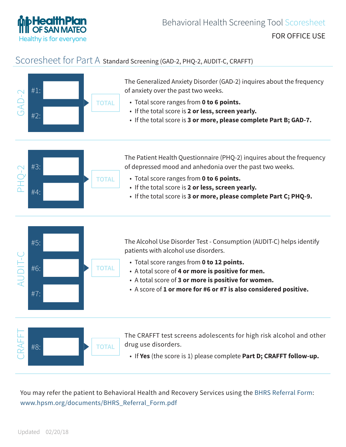

## Scoresheet for Part A Standard Screening (GAD-2, PHQ-2, AUDIT-C, CRAFFT)



You may refer the patient to Behavioral Health and Recovery Services using the [BHRS Referral Form](http://www.hpsm.org/documents/BHRS_Referral_Form.pdf):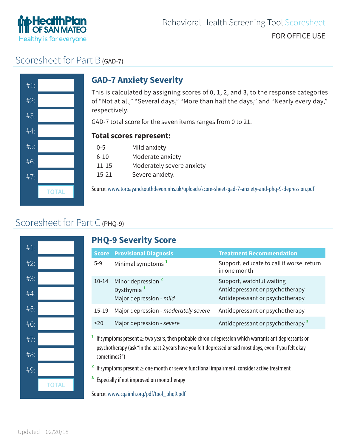

## Scoresheet for Part B (GAD-7)



## **GAD-7 Anxiety Severity**

This is calculated by assigning scores of 0, 1, 2, and 3, to the response categories of "Not at all," "Several days," "More than half the days," and "Nearly every day," respectively.

GAD-7 total score for the seven items ranges from 0 to 21.

#### **Total scores represent:**

- 0-5 Mild anxiety
- 6-10 Moderate anxiety
- 11-15 Moderately severe anxiety
- 15-21 Severe anxiety.

Source: www.torbayandsouthdevon.nhs.uk/uploads/score-sheet-gad-7-anxiety-and-phq-9-depression.pdf **TOTAL**

## Scoresheet for Part C (PHQ-9)



### **PHQ-9 Severity Score**

|           | <b>Score Provisional Diagnosis</b>                                                 | <b>Treatment Recommendation</b>                                                                 |
|-----------|------------------------------------------------------------------------------------|-------------------------------------------------------------------------------------------------|
| $5-9$     | Minimal symptoms <sup>1</sup>                                                      | Support, educate to call if worse, return<br>in one month                                       |
| $10 - 14$ | Minor depression <sup>2</sup><br>Dysthymia <sup>1</sup><br>Major depression - mild | Support, watchful waiting<br>Antidepressant or psychotherapy<br>Antidepressant or psychotherapy |
| $15-19$   | Major depression - moderately severe                                               | Antidepressant or psychotherapy                                                                 |
| >20       | Major depression - severe                                                          | Antidepressant or psychotherapy <sup>3</sup>                                                    |

**1** If symptoms present ≥ two years, then probable chronic depression which warrants antidepressants or psychotherapy (ask "In the past 2 years have you felt depressed or sad most days, even if you felt okay sometimes?")

**2** If symptoms present ≥ one month or severe functional impairment, consider active treatment

**3** Especially if not improved on monotherapy

Source: www.cqaimh.org/pdf/tool\_phq9.pdf